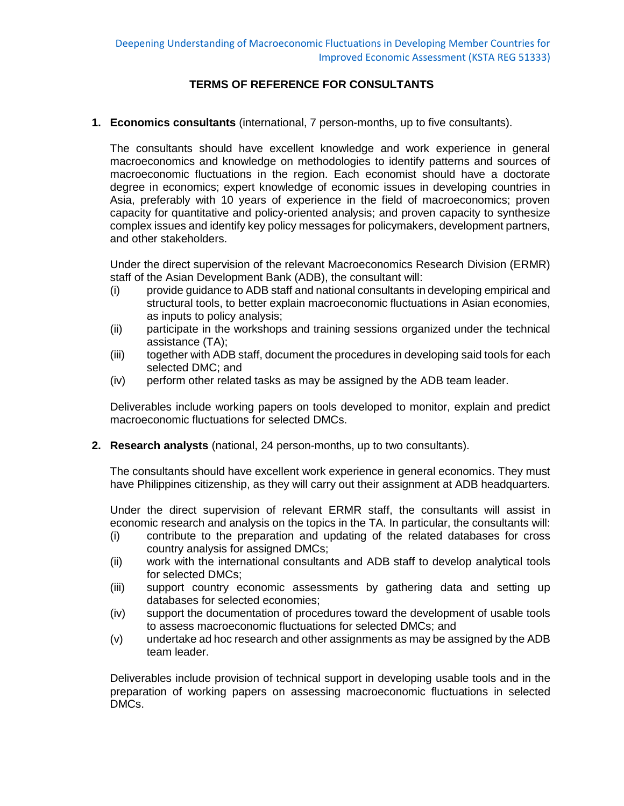## **TERMS OF REFERENCE FOR CONSULTANTS**

**1. Economics consultants** (international, 7 person-months, up to five consultants).

The consultants should have excellent knowledge and work experience in general macroeconomics and knowledge on methodologies to identify patterns and sources of macroeconomic fluctuations in the region. Each economist should have a doctorate degree in economics; expert knowledge of economic issues in developing countries in Asia, preferably with 10 years of experience in the field of macroeconomics; proven capacity for quantitative and policy-oriented analysis; and proven capacity to synthesize complex issues and identify key policy messages for policymakers, development partners, and other stakeholders.

Under the direct supervision of the relevant Macroeconomics Research Division (ERMR) staff of the Asian Development Bank (ADB), the consultant will:

- (i) provide guidance to ADB staff and national consultants in developing empirical and structural tools, to better explain macroeconomic fluctuations in Asian economies, as inputs to policy analysis;
- (ii) participate in the workshops and training sessions organized under the technical assistance (TA);
- (iii) together with ADB staff, document the procedures in developing said tools for each selected DMC; and
- (iv) perform other related tasks as may be assigned by the ADB team leader.

Deliverables include working papers on tools developed to monitor, explain and predict macroeconomic fluctuations for selected DMCs.

**2. Research analysts** (national, 24 person-months, up to two consultants).

The consultants should have excellent work experience in general economics. They must have Philippines citizenship, as they will carry out their assignment at ADB headquarters.

Under the direct supervision of relevant ERMR staff, the consultants will assist in economic research and analysis on the topics in the TA. In particular, the consultants will:

- (i) contribute to the preparation and updating of the related databases for cross country analysis for assigned DMCs;
- (ii) work with the international consultants and ADB staff to develop analytical tools for selected DMCs;
- (iii) support country economic assessments by gathering data and setting up databases for selected economies;
- (iv) support the documentation of procedures toward the development of usable tools to assess macroeconomic fluctuations for selected DMCs; and
- (v) undertake ad hoc research and other assignments as may be assigned by the ADB team leader.

Deliverables include provision of technical support in developing usable tools and in the preparation of working papers on assessing macroeconomic fluctuations in selected DMCs.